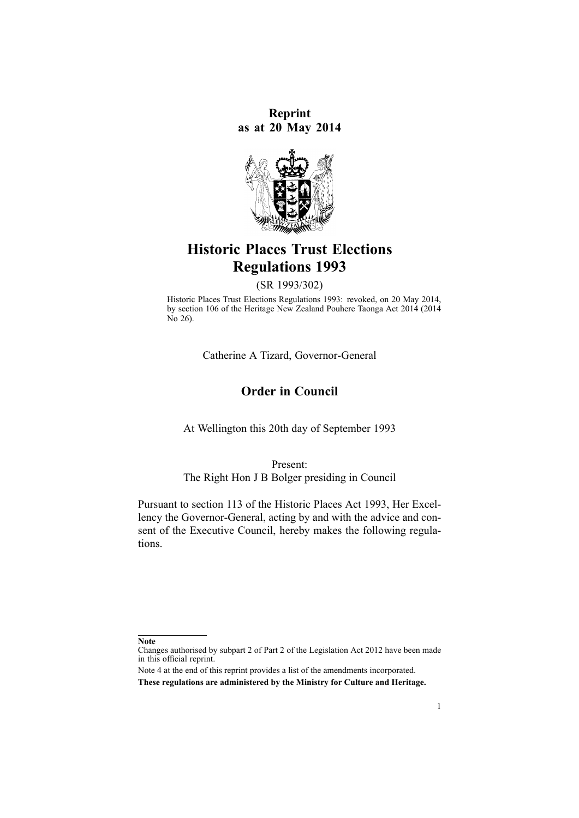**Reprint as at 20 May 2014**



# **Historic Places Trust Elections Regulations 1993**

(SR 1993/302)

Historic Places Trust Elections Regulations 1993: revoked, on 20 May 2014, by [section](http://prd-lgnz-nlb.prd.pco.net.nz/pdflink.aspx?id=DLM4005645) 106 of the Heritage New Zealand Pouhere Taonga Act 2014 (2014 No 26).

Catherine A Tizard, Governor-General

### **Order in Council**

At Wellington this 20th day of September 1993

Present:

The Right Hon J B Bolger presiding in Council

Pursuant to [section](http://prd-lgnz-nlb.prd.pco.net.nz/pdflink.aspx?id=DLM301637) 113 of the Historic Places Act 1993, Her Excellency the Governor-General, acting by and with the advice and consent of the Executive Council, hereby makes the following regulations.

**Note**

Changes authorised by [subpart](http://prd-lgnz-nlb.prd.pco.net.nz/pdflink.aspx?id=DLM2998524) 2 of Part 2 of the Legislation Act 2012 have been made in this official reprint.

Note 4 at the end of this reprint provides <sup>a</sup> list of the amendments incorporated. **These regulations are administered by the Ministry for Culture and Heritage.**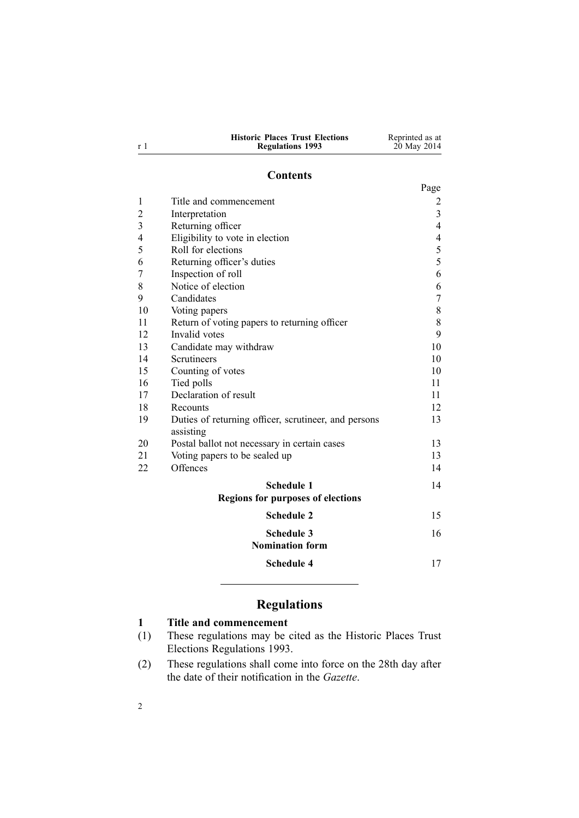| <b>Historic Places Trust Elections</b> | Reprinted as at |
|----------------------------------------|-----------------|
| <b>Regulations 1993</b>                | 20 May 2014     |

#### **Contents**

|                |                                                                   | Page                     |
|----------------|-------------------------------------------------------------------|--------------------------|
| 1              | Title and commencement                                            | 2                        |
| $\overline{c}$ | Interpretation                                                    | $\overline{3}$           |
| 3              | Returning officer                                                 | $\overline{4}$           |
| 4              | Eligibility to vote in election                                   | $\overline{\mathcal{A}}$ |
| 5              | Roll for elections                                                | 5                        |
| 6              | Returning officer's duties                                        | 5                        |
| 7              | Inspection of roll                                                | 6                        |
| 8              | Notice of election                                                | 6                        |
| 9              | Candidates                                                        | $\boldsymbol{7}$         |
| 10             | Voting papers                                                     | $\,$ $\,$                |
| 11             | Return of voting papers to returning officer                      | 8                        |
| 12             | Invalid votes                                                     | 9                        |
| 13             | Candidate may withdraw                                            | 10                       |
| 14             | Scrutineers                                                       | 10                       |
| 15             | Counting of votes                                                 | 10                       |
| 16             | Tied polls                                                        | 11                       |
| 17             | Declaration of result                                             | 11                       |
| 18             | Recounts                                                          | 12                       |
| 19             | Duties of returning officer, scrutineer, and persons<br>assisting | 13                       |
| 20             | Postal ballot not necessary in certain cases                      | 13                       |
| 21             | Voting papers to be sealed up                                     | 13                       |
| 22             | Offences                                                          | 14                       |
|                | <b>Schedule 1</b>                                                 | 14                       |
|                | <b>Regions for purposes of elections</b>                          |                          |
|                | <b>Schedule 2</b>                                                 | 15                       |
|                | <b>Schedule 3</b>                                                 | 16                       |
|                | <b>Nomination form</b>                                            |                          |
|                | <b>Schedule 4</b>                                                 | 17                       |

# **Regulations**

### **1 Title and commencement**

- (1) These regulations may be cited as the Historic Places Trust Elections Regulations 1993.
- (2) These regulations shall come into force on the 28th day after the date of their notification in the *Gazette*.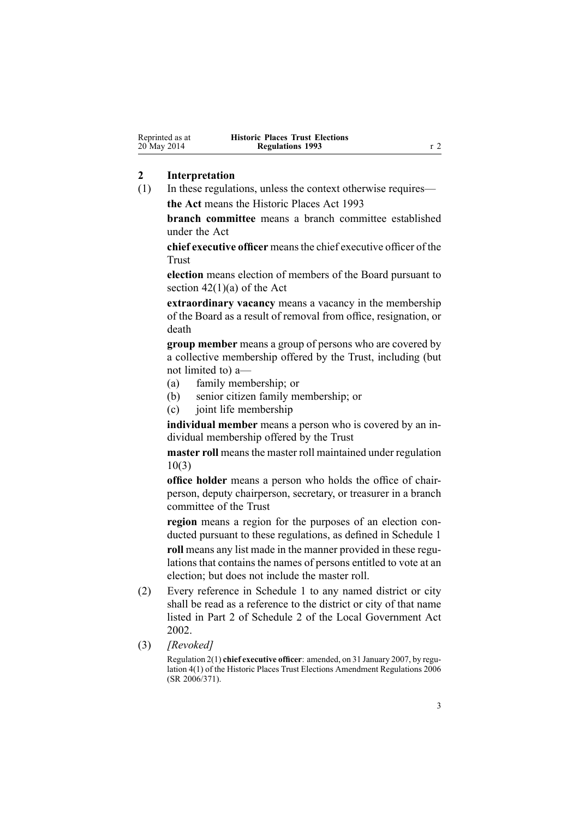<span id="page-2-0"></span>

| Reprinted as at | <b>Historic Places Trust Elections</b> |  |
|-----------------|----------------------------------------|--|
| 20 May 2014     | <b>Regulations 1993</b>                |  |

#### **2 Interpretation**

(1) In these regulations, unless the context otherwise requires **the Act** means the [Historic](http://prd-lgnz-nlb.prd.pco.net.nz/pdflink.aspx?id=DLM300510) Places Act 1993

**branch committee** means <sup>a</sup> branch committee established under the Act

**chief executive officer** meansthe chief executive officer of the Trust

**election** means election of members of the Board pursuan<sup>t</sup> to section  $42(1)(a)$  of the Act

**extraordinary vacancy** means <sup>a</sup> vacancy in the membership of the Board as <sup>a</sup> result of removal from office, resignation, or death

**group member** means <sup>a</sup> group of persons who are covered by <sup>a</sup> collective membership offered by the Trust, including (but not limited to) a—

- (a) family membership; or
- (b) senior citizen family membership; or
- (c) joint life membership

**individual member** means <sup>a</sup> person who is covered by an individual membership offered by the Trust

**master roll** means the master roll maintained under regu[lation](#page-7-0) [10\(3\)](#page-7-0)

**office holder** means <sup>a</sup> person who holds the office of chairperson, deputy chairperson, secretary, or treasurer in <sup>a</sup> branch committee of the Trust

**region** means <sup>a</sup> region for the purposes of an election conducted pursuan<sup>t</sup> to these regulations, as defined in [Schedule](#page-13-0) 1 **roll** means any list made in the manner provided in these regulations that contains the names of persons entitled to vote at an election; but does not include the master roll.

- (2) Every reference in [Schedule](#page-13-0) 1 to any named district or city shall be read as <sup>a</sup> reference to the district or city of that name listed in [Part](http://prd-lgnz-nlb.prd.pco.net.nz/pdflink.aspx?id=DLM174261) 2 of Schedule 2 of the Local Government Act 2002.
- (3) *[Revoked]*

Regulation 2(1) **chief executive officer**: amended, on 31 January 2007, by [regu](http://prd-lgnz-nlb.prd.pco.net.nz/pdflink.aspx?id=DLM420582)[lation](http://prd-lgnz-nlb.prd.pco.net.nz/pdflink.aspx?id=DLM420582) 4(1) of the Historic Places Trust Elections Amendment Regulations 2006 (SR 2006/371).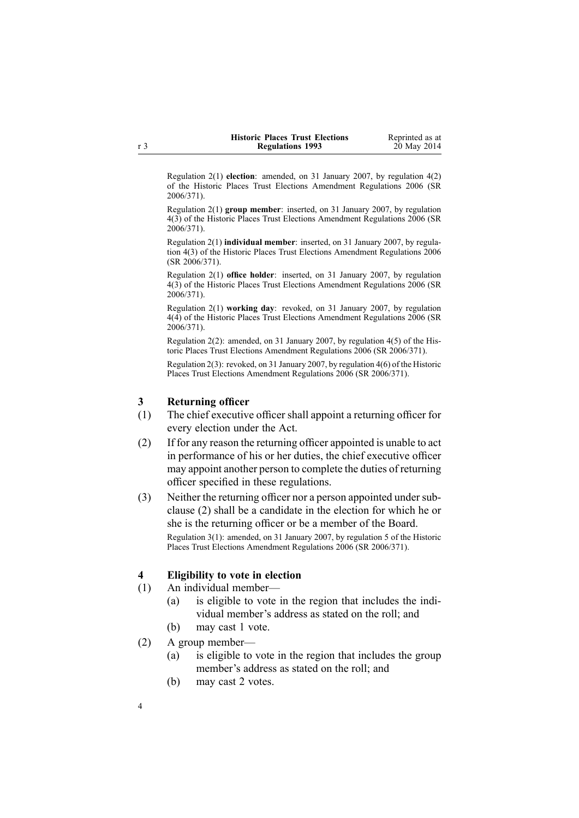| <b>Historic Places Trust Elections</b> | Reprinted as at |
|----------------------------------------|-----------------|
| <b>Regulations 1993</b>                | 20 May 2014     |

<span id="page-3-0"></span>Regulation 2(1) **election**: amended, on 31 January 2007, by regu[lation](http://prd-lgnz-nlb.prd.pco.net.nz/pdflink.aspx?id=DLM420582) 4(2) of the Historic Places Trust Elections Amendment Regulations 2006 (SR 2006/371).

Regulation 2(1) **group member**: inserted, on 31 January 2007, by regu[lation](http://prd-lgnz-nlb.prd.pco.net.nz/pdflink.aspx?id=DLM420582) [4\(3\)](http://prd-lgnz-nlb.prd.pco.net.nz/pdflink.aspx?id=DLM420582) of the Historic Places Trust Elections Amendment Regulations 2006 (SR 2006/371).

Regulation 2(1) **individual member**: inserted, on 31 January 2007, by [regu](http://prd-lgnz-nlb.prd.pco.net.nz/pdflink.aspx?id=DLM420582)lation [4\(3\)](http://prd-lgnz-nlb.prd.pco.net.nz/pdflink.aspx?id=DLM420582) of the Historic Places Trust Elections Amendment Regulations 2006 (SR 2006/371).

Regulation 2(1) **office holder**: inserted, on 31 January 2007, by regu[lation](http://prd-lgnz-nlb.prd.pco.net.nz/pdflink.aspx?id=DLM420582) [4\(3\)](http://prd-lgnz-nlb.prd.pco.net.nz/pdflink.aspx?id=DLM420582) of the Historic Places Trust Elections Amendment Regulations 2006 (SR 2006/371).

Regulation 2(1) **working day**: revoked, on 31 January 2007, by regu[lation](http://prd-lgnz-nlb.prd.pco.net.nz/pdflink.aspx?id=DLM420582) [4\(4\)](http://prd-lgnz-nlb.prd.pco.net.nz/pdflink.aspx?id=DLM420582) of the Historic Places Trust Elections Amendment Regulations 2006 (SR 2006/371).

Regulation 2(2): amended, on 31 January 2007, by regu[lation](http://prd-lgnz-nlb.prd.pco.net.nz/pdflink.aspx?id=DLM420582) 4(5) of the Historic Places Trust Elections Amendment Regulations 2006 (SR 2006/371).

Regulation 2(3): revoked, on 31 January 2007, by regu[lation](http://prd-lgnz-nlb.prd.pco.net.nz/pdflink.aspx?id=DLM420582) 4(6) of the Historic Places Trust Elections Amendment Regulations 2006 (SR 2006/371).

#### **3 Returning officer**

- (1) The chief executive officer shall appoint <sup>a</sup> returning officer for every election under the Act.
- (2) If for any reason the returning officer appointed is unable to act in performance of his or her duties, the chief executive officer may appoint another person to complete the duties of returning officer specified in these regulations.
- (3) Neither the returning officer nor a person appointed under subclause (2) shall be <sup>a</sup> candidate in the election for which he or she is the returning officer or be <sup>a</sup> member of the Board. Regulation 3(1): amended, on 31 January 2007, by regu[lation](http://prd-lgnz-nlb.prd.pco.net.nz/pdflink.aspx?id=DLM420591) 5 of the Historic Places Trust Elections Amendment Regulations 2006 (SR 2006/371).

#### **4 Eligibility to vote in election**

- (1) An individual member—
	- (a) is eligible to vote in the region that includes the individual member's address as stated on the roll; and
	- (b) may cast 1 vote.
- (2) A group member—
	- (a) is eligible to vote in the region that includes the group member's address as stated on the roll; and
	- (b) may cast 2 votes.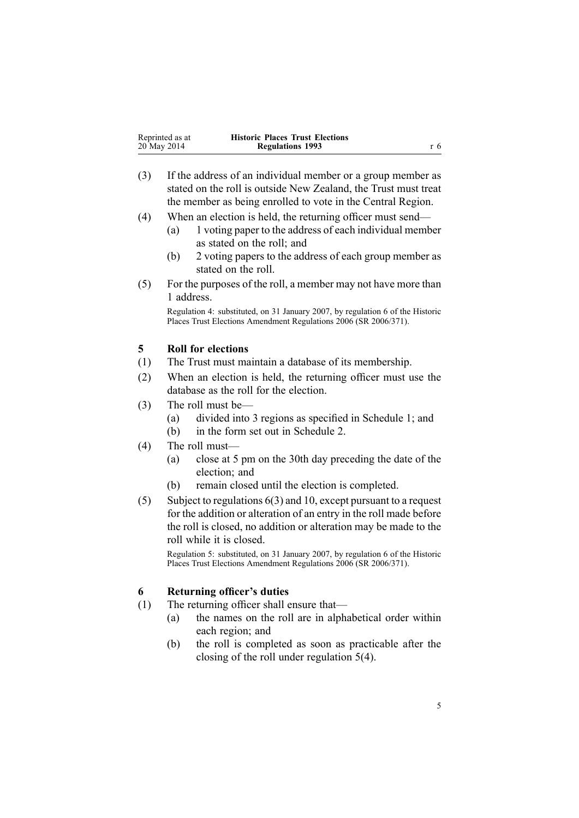<span id="page-4-0"></span>

| Reprinted as at | <b>Historic Places Trust Elections</b> |     |
|-----------------|----------------------------------------|-----|
| 20 May 2014     | <b>Regulations 1993</b>                | r 6 |

- (3) If the address of an individual member or <sup>a</sup> group member as stated on the roll is outside New Zealand, the Trust must treat the member as being enrolled to vote in the Central Region.
- (4) When an election is held, the returning officer must send—
	- (a) 1 voting paper to the address of each individual member as stated on the roll; and
	- (b) 2 voting papers to the address of each group member as stated on the roll.
- (5) For the purposes of the roll, <sup>a</sup> member may not have more than 1 address.

Regulation 4: substituted, on 31 January 2007, by regu[lation](http://prd-lgnz-nlb.prd.pco.net.nz/pdflink.aspx?id=DLM420592) 6 of the Historic Places Trust Elections Amendment Regulations 2006 (SR 2006/371).

#### **5 Roll for elections**

- (1) The Trust must maintain <sup>a</sup> database of its membership.
- (2) When an election is held, the returning officer must use the database as the roll for the election.
- (3) The roll must be—
	- (a) divided into 3 regions as specified in [Schedule](#page-13-0) 1; and
	- (b) in the form set out in [Schedule](#page-14-0) 2.
- (4) The roll must—
	- (a) close at 5 pm on the 30th day preceding the date of the election; and
	- (b) remain closed until the election is completed.
- (5) Subject to regulations 6(3) and [10](#page-7-0), excep<sup>t</sup> pursuan<sup>t</sup> to <sup>a</sup> reques<sup>t</sup> for the addition or alteration of an entry in the roll made before the roll is closed, no addition or alteration may be made to the roll while it is closed.

Regulation 5: substituted, on 31 January 2007, by regu[lation](http://prd-lgnz-nlb.prd.pco.net.nz/pdflink.aspx?id=DLM420592) 6 of the Historic Places Trust Elections Amendment Regulations 2006 (SR 2006/371).

### **6 Returning officer's duties**

- (1) The returning officer shall ensure that—
	- (a) the names on the roll are in alphabetical order within each region; and
	- (b) the roll is completed as soon as practicable after the closing of the roll under regulation 5(4).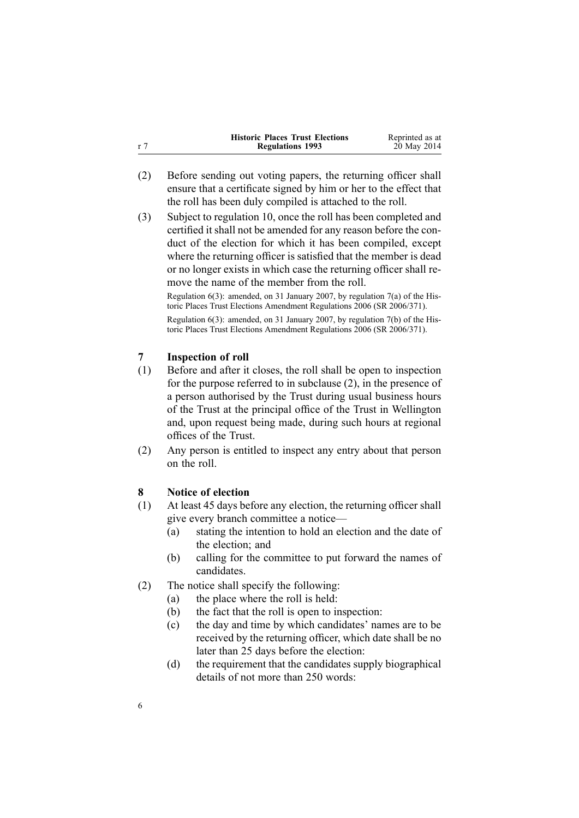<span id="page-5-0"></span>

|     | <b>Historic Places Trust Elections</b> | Reprinted as at |
|-----|----------------------------------------|-----------------|
| r 7 | <b>Regulations 1993</b>                | 20 May 2014     |

- (2) Before sending out voting papers, the returning officer shall ensure that <sup>a</sup> certificate signed by him or her to the effect that the roll has been duly compiled is attached to the roll.
- (3) Subject to regu[lation](#page-7-0) 10, once the roll has been completed and certified it shall not be amended for any reason before the conduct of the election for which it has been compiled, excep<sup>t</sup> where the returning officer is satisfied that the member is dead or no longer exists in which case the returning officer shall remove the name of the member from the roll.

Regulation 6(3): amended, on 31 January 2007, by regu[lation](http://prd-lgnz-nlb.prd.pco.net.nz/pdflink.aspx?id=DLM420595) 7(a) of the Historic Places Trust Elections Amendment Regulations 2006 (SR 2006/371).

Regulation 6(3): amended, on 31 January 2007, by regu[lation](http://prd-lgnz-nlb.prd.pco.net.nz/pdflink.aspx?id=DLM420595) 7(b) of the Historic Places Trust Elections Amendment Regulations 2006 (SR 2006/371).

### **7 Inspection of roll**

- (1) Before and after it closes, the roll shall be open to inspection for the purpose referred to in subclause (2), in the presence of <sup>a</sup> person authorised by the Trust during usual business hours of the Trust at the principal office of the Trust in Wellington and, upon reques<sup>t</sup> being made, during such hours at regional offices of the Trust.
- (2) Any person is entitled to inspect any entry about that person on the roll.

### **8 Notice of election**

- (1) At least 45 days before any election, the returning officer shall give every branch committee <sup>a</sup> notice—
	- (a) stating the intention to hold an election and the date of the election; and
	- (b) calling for the committee to pu<sup>t</sup> forward the names of candidates.
- (2) The notice shall specify the following:
	- (a) the place where the roll is held:
	- (b) the fact that the roll is open to inspection:
	- (c) the day and time by which candidates' names are to be received by the returning officer, which date shall be no later than 25 days before the election:
	- (d) the requirement that the candidates supply biographical details of not more than 250 words: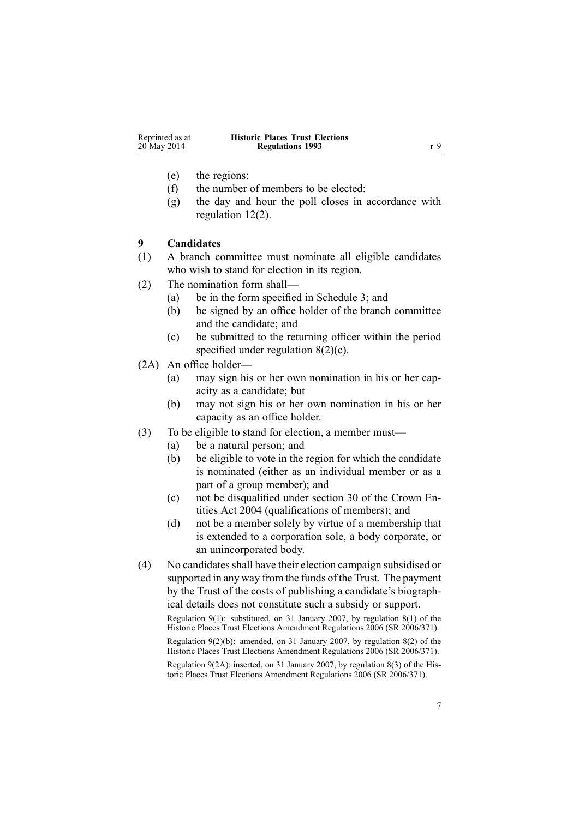<span id="page-6-0"></span>

| Reprinted as at | <b>Historic Places Trust Elections</b> |     |
|-----------------|----------------------------------------|-----|
| 20 May 2014     | <b>Regulations 1993</b>                | r 9 |

- (e) the regions:
- (f) the number of members to be elected:
- (g) the day and hour the poll closes in accordance with regulation [12\(2\)](#page-8-0).

#### **9 Candidates**

- (1) A branch committee must nominate all eligible candidates who wish to stand for election in its region.
- (2) The nomination form shall—
	- (a) be in the form specified in [Schedule](#page-15-0) 3; and
	- (b) be signed by an office holder of the branch committee and the candidate; and
	- (c) be submitted to the returning officer within the period specified under regulation [8\(2\)\(c\)](#page-5-0).
- (2A) An office holder—
	- (a) may sign his or her own nomination in his or her capacity as <sup>a</sup> candidate; but
	- (b) may not sign his or her own nomination in his or her capacity as an office holder.
- (3) To be eligible to stand for election, <sup>a</sup> member must—
	- (a) be <sup>a</sup> natural person; and
	- (b) be eligible to vote in the region for which the candidate is nominated (either as an individual member or as <sup>a</sup> par<sup>t</sup> of <sup>a</sup> group member); and
	- (c) not be disqualified under [section](http://prd-lgnz-nlb.prd.pco.net.nz/pdflink.aspx?id=DLM329956) 30 of the Crown Entities Act 2004 (qualifications of members); and
	- (d) not be <sup>a</sup> member solely by virtue of <sup>a</sup> membership that is extended to <sup>a</sup> corporation sole, <sup>a</sup> body corporate, or an unincorporated body.
- (4) No candidatesshall have their election campaign subsidised or supported in any way from the funds of the Trust. The paymen<sup>t</sup> by the Trust of the costs of publishing <sup>a</sup> candidate's biographical details does not constitute such <sup>a</sup> subsidy or support.

Regulation 9(1): substituted, on 31 January 2007, by regu[lation](http://prd-lgnz-nlb.prd.pco.net.nz/pdflink.aspx?id=DLM420596) 8(1) of the Historic Places Trust Elections Amendment Regulations 2006 (SR 2006/371).

Regulation 9(2)(b): amended, on 31 January 2007, by regu[lation](http://prd-lgnz-nlb.prd.pco.net.nz/pdflink.aspx?id=DLM420596) 8(2) of the Historic Places Trust Elections Amendment Regulations 2006 (SR 2006/371).

Regulation 9(2A): inserted, on 31 January 2007, by regu[lation](http://prd-lgnz-nlb.prd.pco.net.nz/pdflink.aspx?id=DLM420596) 8(3) of the Historic Places Trust Elections Amendment Regulations 2006 (SR 2006/371).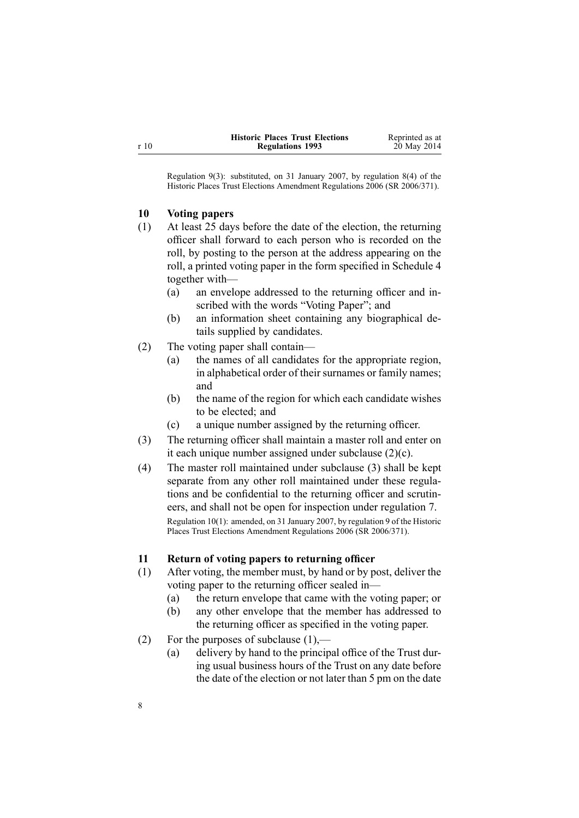<span id="page-7-0"></span>

| <b>Historic Places Trust Elections</b> | Reprinted as at |
|----------------------------------------|-----------------|
| <b>Regulations 1993</b>                | 20 May 2014     |

Regulation 9(3): substituted, on 31 January 2007, by regu[lation](http://prd-lgnz-nlb.prd.pco.net.nz/pdflink.aspx?id=DLM420596) 8(4) of the Historic Places Trust Elections Amendment Regulations 2006 (SR 2006/371).

### **10 Voting papers**

- (1) At least 25 days before the date of the election, the returning officer shall forward to each person who is recorded on the roll, by posting to the person at the address appearing on the roll, <sup>a</sup> printed voting paper in the form specified in [Schedule](#page-16-0) 4 together with—
	- (a) an envelope addressed to the returning officer and inscribed with the words "Voting Paper"; and
	- (b) an information sheet containing any biographical details supplied by candidates.
- (2) The voting paper shall contain—
	- (a) the names of all candidates for the appropriate region, in alphabetical order of their surnames or family names; and
	- (b) the name of the region for which each candidate wishes to be elected; and
	- (c) <sup>a</sup> unique number assigned by the returning officer.
- (3) The returning officer shall maintain <sup>a</sup> master roll and enter on it each unique number assigned under subclause (2)(c).
- (4) The master roll maintained under subclause (3) shall be kept separate from any other roll maintained under these regulations and be confidential to the returning officer and scrutineers, and shall not be open for inspection under regu[lation](#page-5-0) 7. Regulation 10(1): amended, on 31 January 2007, by regu[lation](http://prd-lgnz-nlb.prd.pco.net.nz/pdflink.aspx?id=DLM420597) 9 of the Historic Places Trust Elections Amendment Regulations 2006 (SR 2006/371).

### **11 Return of voting papers to returning officer**

- (1) After voting, the member must, by hand or by post, deliver the voting paper to the returning officer sealed in—
	- (a) the return envelope that came with the voting paper; or
	- (b) any other envelope that the member has addressed to the returning officer as specified in the voting paper.
- (2) For the purposes of subclause  $(1)$ ,—
	- (a) delivery by hand to the principal office of the Trust during usual business hours of the Trust on any date before the date of the election or not later than 5 pm on the date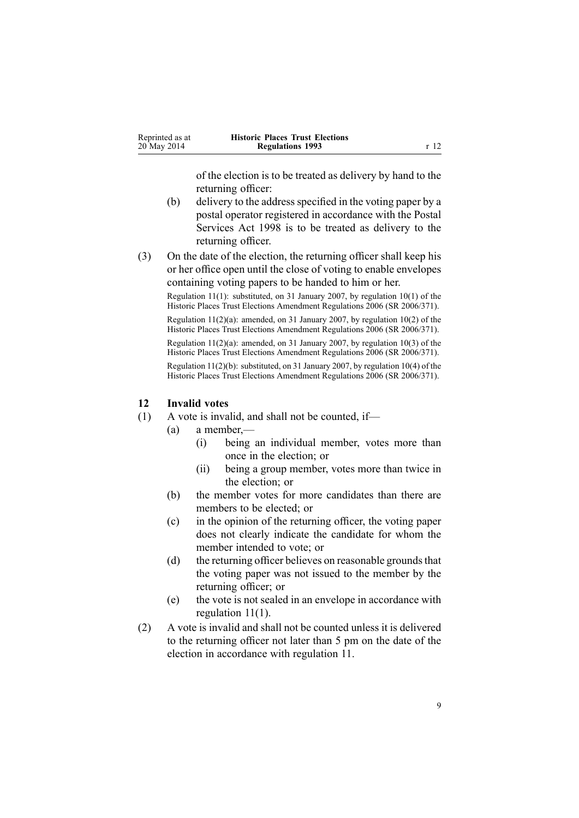<span id="page-8-0"></span>

| Reprinted as at | <b>Historic Places Trust Elections</b> |      |
|-----------------|----------------------------------------|------|
| 20 May 2014     | <b>Regulations 1993</b>                | r 12 |

of the election is to be treated as delivery by hand to the returning officer:

- (b) delivery to the address specified in the voting paper by a postal operator registered in accordance with the [Postal](http://prd-lgnz-nlb.prd.pco.net.nz/pdflink.aspx?id=DLM423257) [Services](http://prd-lgnz-nlb.prd.pco.net.nz/pdflink.aspx?id=DLM423257) Act 1998 is to be treated as delivery to the returning officer.
- (3) On the date of the election, the returning officer shall keep his or her office open until the close of voting to enable envelopes containing voting papers to be handed to him or her.

Regulation 11(1): substituted, on 31 January 2007, by regulation [10\(1\)](http://prd-lgnz-nlb.prd.pco.net.nz/pdflink.aspx?id=DLM420598) of the Historic Places Trust Elections Amendment Regulations 2006 (SR 2006/371). Regulation  $11(2)(a)$ : amended, on 31 January 2007, by regulation  $10(2)$  of the Historic Places Trust Elections Amendment Regulations 2006 (SR 2006/371). Regulation  $11(2)(a)$ : amended, on 31 January 2007, by regulation [10\(3\)](http://prd-lgnz-nlb.prd.pco.net.nz/pdflink.aspx?id=DLM420598) of the

Historic Places Trust Elections Amendment Regulations 2006 (SR 2006/371).

Regulation 11(2)(b): substituted, on 31 January 2007, by regulation [10\(4\)](http://prd-lgnz-nlb.prd.pco.net.nz/pdflink.aspx?id=DLM420598) of the Historic Places Trust Elections Amendment Regulations 2006 (SR 2006/371).

#### **12 Invalid votes**

- (1) A vote is invalid, and shall not be counted, if—
	- (a) <sup>a</sup> member,—
		- (i) being an individual member, votes more than once in the election; or
		- (ii) being <sup>a</sup> group member, votes more than twice in the election; or
	- (b) the member votes for more candidates than there are members to be elected; or
	- (c) in the opinion of the returning officer, the voting paper does not clearly indicate the candidate for whom the member intended to vote; or
	- (d) the returning officer believes on reasonable grounds that the voting paper was not issued to the member by the returning officer; or
	- (e) the vote is not sealed in an envelope in accordance with regulation [11\(1\)](#page-7-0).
- (2) A vote is invalid and shall not be counted unless it is delivered to the returning officer not later than 5 pm on the date of the election in accordance with regu[lation](#page-7-0) 11.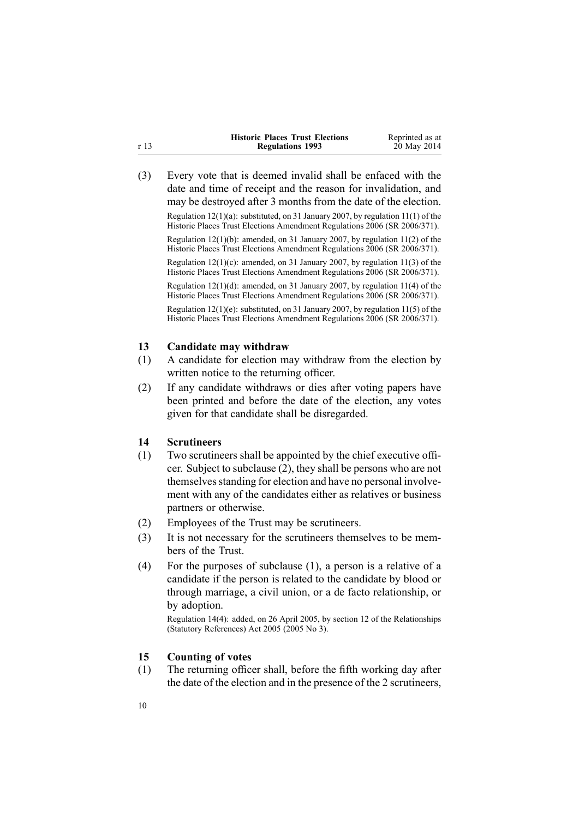<span id="page-9-0"></span>

|      | <b>Historic Places Trust Elections</b> | Reprinted as at |
|------|----------------------------------------|-----------------|
| r 13 | <b>Regulations 1993</b>                | 20 May 2014     |

(3) Every vote that is deemed invalid shall be enfaced with the date and time of receipt and the reason for invalidation, and may be destroyed after 3 months from the date of the election. Regulation  $12(1)(a)$ : substituted, on 31 January 2007, by regulation  $11(1)$  of the Historic Places Trust Elections Amendment Regulations 2006 (SR 2006/371). Regulation 12(1)(b): amended, on 31 January 2007, by regulation [11\(2\)](http://prd-lgnz-nlb.prd.pco.net.nz/pdflink.aspx?id=DLM420599) of the Historic Places Trust Elections Amendment Regulations 2006 (SR 2006/371). Regulation 12(1)(c): amended, on 31 January 2007, by regulation [11\(3\)](http://prd-lgnz-nlb.prd.pco.net.nz/pdflink.aspx?id=DLM420599) of the Historic Places Trust Elections Amendment Regulations 2006 (SR 2006/371). Regulation 12(1)(d): amended, on 31 January 2007, by regulation [11\(4\)](http://prd-lgnz-nlb.prd.pco.net.nz/pdflink.aspx?id=DLM420599) of the Historic Places Trust Elections Amendment Regulations 2006 (SR 2006/371). Regulation  $12(1)(e)$ : substituted, on 31 January 2007, by regulation  $11(5)$  of the Historic Places Trust Elections Amendment Regulations 2006 (SR 2006/371).

#### **13 Candidate may withdraw**

- (1) A candidate for election may withdraw from the election by written notice to the returning officer.
- (2) If any candidate withdraws or dies after voting papers have been printed and before the date of the election, any votes given for that candidate shall be disregarded.

#### **14 Scrutineers**

- (1) Two scrutineers shall be appointed by the chief executive officer. Subject to subclause (2), they shall be persons who are not themselves standing for election and have no personal involvement with any of the candidates either as relatives or business partners or otherwise.
- (2) Employees of the Trust may be scrutineers.
- (3) It is not necessary for the scrutineers themselves to be members of the Trust.
- (4) For the purposes of subclause (1), <sup>a</sup> person is <sup>a</sup> relative of <sup>a</sup> candidate if the person is related to the candidate by blood or through marriage, <sup>a</sup> civil union, or <sup>a</sup> de facto relationship, or by adoption.

Regulation 14(4): added, on 26 April 2005, by [section](http://prd-lgnz-nlb.prd.pco.net.nz/pdflink.aspx?id=DLM334004) 12 of the Relationships (Statutory References) Act 2005 (2005 No 3).

#### **15 Counting of votes**

(1) The returning officer shall, before the fifth working day after the date of the election and in the presence of the 2 scrutineers,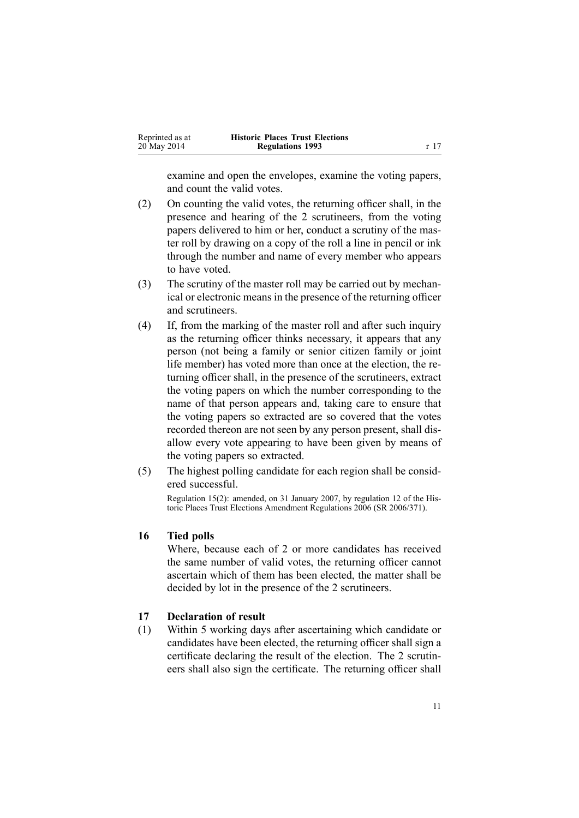<span id="page-10-0"></span>

| Reprinted as at | <b>Historic Places Trust Elections</b> |                 |
|-----------------|----------------------------------------|-----------------|
| 20 May 2014     | <b>Regulations 1993</b>                | r <sub>17</sub> |

examine and open the envelopes, examine the voting papers, and count the valid votes.

- (2) On counting the valid votes, the returning officer shall, in the presence and hearing of the 2 scrutineers, from the voting papers delivered to him or her, conduct <sup>a</sup> scrutiny of the master roll by drawing on <sup>a</sup> copy of the roll <sup>a</sup> line in pencil or ink through the number and name of every member who appears to have voted.
- (3) The scrutiny of the master roll may be carried out by mechanical or electronic means in the presence of the returning officer and scrutineers.
- (4) If, from the marking of the master roll and after such inquiry as the returning officer thinks necessary, it appears that any person (not being <sup>a</sup> family or senior citizen family or joint life member) has voted more than once at the election, the returning officer shall, in the presence of the scrutineers, extract the voting papers on which the number corresponding to the name of that person appears and, taking care to ensure that the voting papers so extracted are so covered that the votes recorded thereon are not seen by any person present, shall disallow every vote appearing to have been given by means of the voting papers so extracted.
- (5) The highest polling candidate for each region shall be considered successful.

Regulation 15(2): amended, on 31 January 2007, by regu[lation](http://prd-lgnz-nlb.prd.pco.net.nz/pdflink.aspx?id=DLM420900) 12 of the Historic Places Trust Elections Amendment Regulations 2006 (SR 2006/371).

#### **16 Tied polls**

Where, because each of 2 or more candidates has received the same number of valid votes, the returning officer cannot ascertain which of them has been elected, the matter shall be decided by lot in the presence of the 2 scrutineers.

#### **17 Declaration of result**

(1) Within 5 working days after ascertaining which candidate or candidates have been elected, the returning officer shall sign <sup>a</sup> certificate declaring the result of the election. The 2 scrutineers shall also sign the certificate. The returning officer shall

11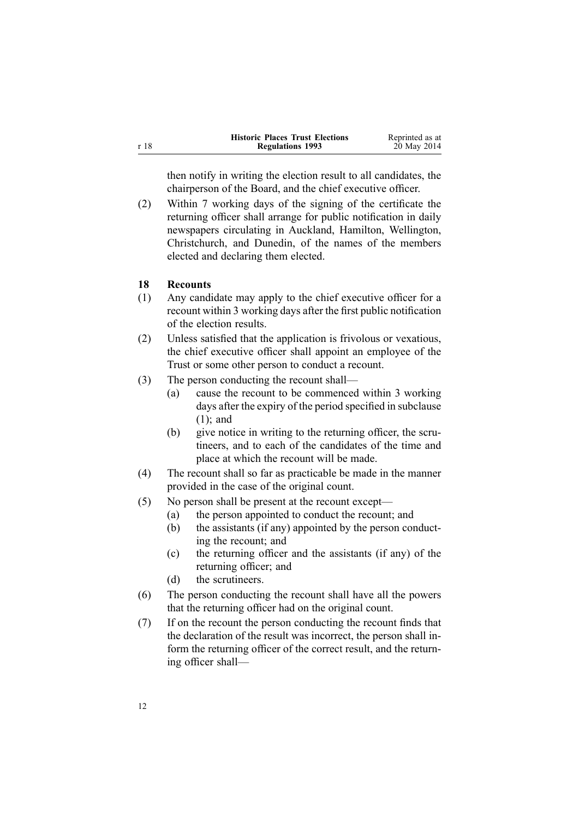<span id="page-11-0"></span>

|      | <b>Historic Places Trust Elections</b> | Reprinted as at |
|------|----------------------------------------|-----------------|
| r 18 | <b>Regulations 1993</b>                | 20 May 2014     |

then notify in writing the election result to all candidates, the chairperson of the Board, and the chief executive officer.

(2) Within 7 working days of the signing of the certificate the returning officer shall arrange for public notification in daily newspapers circulating in Auckland, Hamilton, Wellington, Christchurch, and Dunedin, of the names of the members elected and declaring them elected.

#### **18 Recounts**

- (1) Any candidate may apply to the chief executive officer for <sup>a</sup> recount within 3 working days after the first public notification of the election results.
- (2) Unless satisfied that the application is frivolous or vexatious, the chief executive officer shall appoint an employee of the Trust or some other person to conduct <sup>a</sup> recount.
- (3) The person conducting the recount shall—
	- (a) cause the recount to be commenced within 3 working days after the expiry of the period specified in subclause (1); and
	- (b) give notice in writing to the returning officer, the scrutineers, and to each of the candidates of the time and place at which the recount will be made.
- (4) The recount shall so far as practicable be made in the manner provided in the case of the original count.
- (5) No person shall be presen<sup>t</sup> at the recount except—
	- (a) the person appointed to conduct the recount; and
	- (b) the assistants (if any) appointed by the person conducting the recount; and
	- (c) the returning officer and the assistants (if any) of the returning officer; and
	- (d) the scrutineers.
- (6) The person conducting the recount shall have all the powers that the returning officer had on the original count.
- (7) If on the recount the person conducting the recount finds that the declaration of the result was incorrect, the person shall inform the returning officer of the correct result, and the returning officer shall—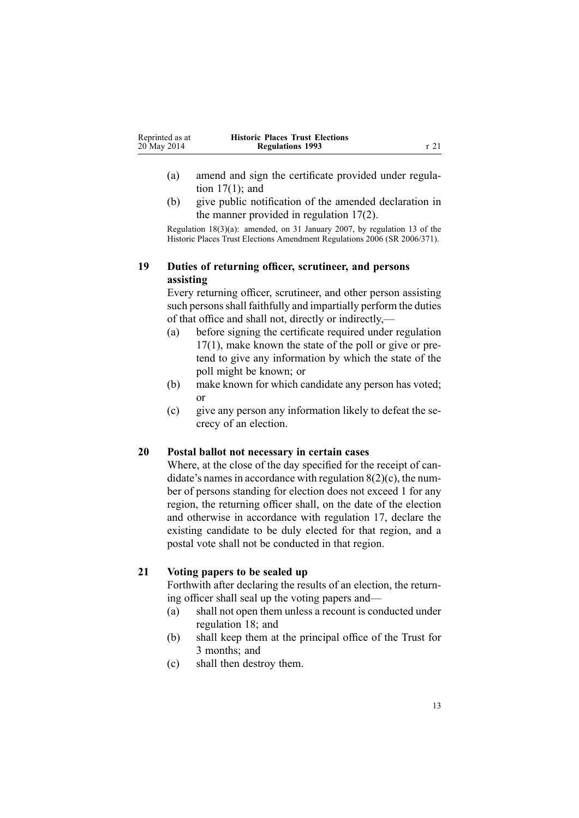<span id="page-12-0"></span>

| Reprinted as at | <b>Historic Places Trust Elections</b> |      |
|-----------------|----------------------------------------|------|
| 20 May 2014     | <b>Regulations 1993</b>                | r 21 |

- (a) amend and sign the certificate provided under [regu](#page-10-0)lation  $17(1)$ ; and
- (b) give public notification of the amended declaration in the manner provided in regulation [17\(2\)](#page-10-0).

Regulation 18(3)(a): amended, on 31 January 2007, by regu[lation](http://prd-lgnz-nlb.prd.pco.net.nz/pdflink.aspx?id=DLM420901) 13 of the Historic Places Trust Elections Amendment Regulations 2006 (SR 2006/371).

### **19 Duties of returning officer, scrutineer, and persons assisting**

Every returning officer, scrutineer, and other person assisting such persons shall faithfully and impartially perform the duties of that office and shall not, directly or indirectly,—

- (a) before signing the certificate required under regu[lation](#page-10-0) [17\(1\)](#page-10-0), make known the state of the poll or give or pretend to give any information by which the state of the poll might be known; or
- (b) make known for which candidate any person has voted; or
- (c) give any person any information likely to defeat the secrecy of an election.

### **20 Postal ballot not necessary in certain cases**

Where, at the close of the day specified for the receipt of candidate's names in accordance with regulation  $8(2)(c)$ , the number of persons standing for election does not exceed 1 for any region, the returning officer shall, on the date of the election and otherwise in accordance with regu[lation](#page-10-0) 17, declare the existing candidate to be duly elected for that region, and <sup>a</sup> postal vote shall not be conducted in that region.

#### **21 Voting papers to be sealed up**

Forthwith after declaring the results of an election, the returning officer shall seal up the voting papers and—

- (a) shall not open them unless <sup>a</sup> recount is conducted under regu[lation](#page-11-0) 18; and
- (b) shall keep them at the principal office of the Trust for 3 months; and
- (c) shall then destroy them.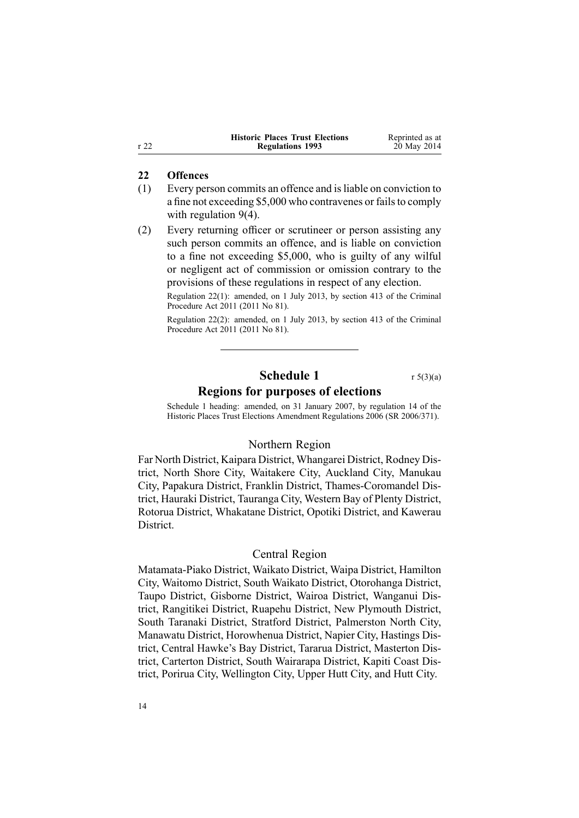<span id="page-13-0"></span>

|      | <b>Historic Places Trust Elections</b> | Reprinted as at |
|------|----------------------------------------|-----------------|
| r 22 | <b>Regulations 1993</b>                | 20 May 2014     |

#### **22 Offences**

- (1) Every person commits an offence and isliable on conviction to a fine not exceeding \$5,000 who contravenes or fails to comply with regu[lation](#page-6-0) 9(4).
- (2) Every returning officer or scrutineer or person assisting any such person commits an offence, and is liable on conviction to <sup>a</sup> fine not exceeding \$5,000, who is guilty of any wilful or negligent act of commission or omission contrary to the provisions of these regulations in respec<sup>t</sup> of any election.

Regulation 22(1): amended, on 1 July 2013, by [section](http://prd-lgnz-nlb.prd.pco.net.nz/pdflink.aspx?id=DLM3360714) 413 of the Criminal Procedure Act 2011 (2011 No 81).

Regulation 22(2): amended, on 1 July 2013, by [section](http://prd-lgnz-nlb.prd.pco.net.nz/pdflink.aspx?id=DLM3360714) 413 of the Criminal Procedure Act 2011 (2011 No 81).

## **Schedule 1** r [5\(3\)\(a\)](#page-4-0)

#### **Regions for purposes of elections**

Schedule 1 heading: amended, on 31 January 2007, by regu[lation](http://prd-lgnz-nlb.prd.pco.net.nz/pdflink.aspx?id=DLM420902) 14 of the Historic Places Trust Elections Amendment Regulations 2006 (SR 2006/371).

#### Northern Region

Far North District, Kaipara District, Whangarei District, Rodney District, North Shore City, Waitakere City, Auckland City, Manukau City, Papakura District, Franklin District, Thames-Coromandel District, Hauraki District, Tauranga City, Western Bay of Plenty District, Rotorua District, Whakatane District, Opotiki District, and Kawerau District.

### Central Region

Matamata-Piako District, Waikato District, Waipa District, Hamilton City, Waitomo District, South Waikato District, Otorohanga District, Taupo District, Gisborne District, Wairoa District, Wanganui District, Rangitikei District, Ruapehu District, New Plymouth District, South Taranaki District, Stratford District, Palmerston North City, Manawatu District, Horowhenua District, Napier City, Hastings District, Central Hawke's Bay District, Tararua District, Masterton District, Carterton District, South Wairarapa District, Kapiti Coast District, Porirua City, Wellington City, Upper Hutt City, and Hutt City.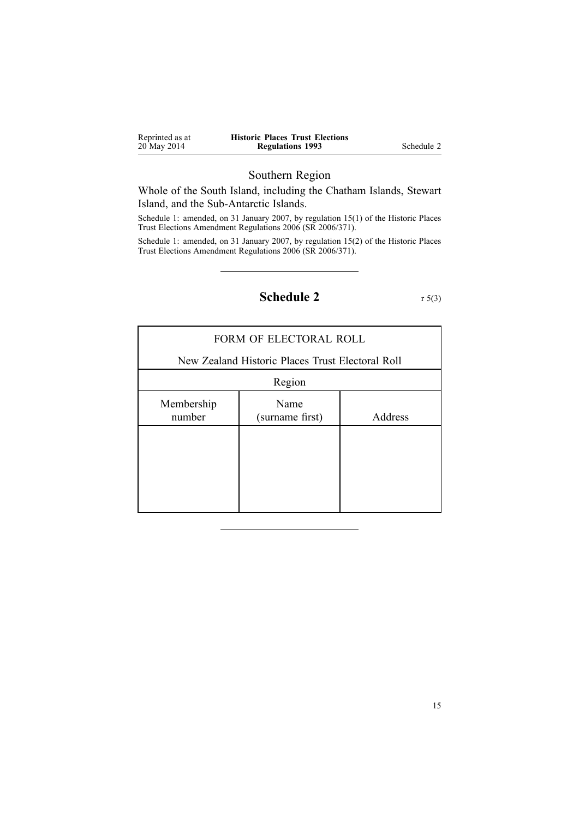<span id="page-14-0"></span>

| Reprinted as at | <b>Historic Places Trust Elections</b> |            |
|-----------------|----------------------------------------|------------|
| 20 May 2014     | <b>Regulations 1993</b>                | Schedule 2 |

### Southern Region

Whole of the South Island, including the Chatham Islands, Stewart Island, and the Sub-Antarctic Islands.

Schedule 1: amended, on 31 January 2007, by regulation [15\(1\)](http://prd-lgnz-nlb.prd.pco.net.nz/pdflink.aspx?id=DLM420903) of the Historic Places Trust Elections Amendment Regulations 2006 (SR 2006/371).

Schedule 1: amended, on 31 January 2007, by regulation [15\(2\)](http://prd-lgnz-nlb.prd.pco.net.nz/pdflink.aspx?id=DLM420903) of the Historic Places Trust Elections Amendment Regulations 2006 (SR 2006/371).

**Schedule 2** r [5\(3\)](#page-4-0)

| FORM OF ELECTORAL ROLL |                                                  |         |  |
|------------------------|--------------------------------------------------|---------|--|
|                        | New Zealand Historic Places Trust Electoral Roll |         |  |
| Region                 |                                                  |         |  |
| Membership<br>number   | Name<br>(surname first)                          | Address |  |
|                        |                                                  |         |  |
|                        |                                                  |         |  |
|                        |                                                  |         |  |
|                        |                                                  |         |  |

15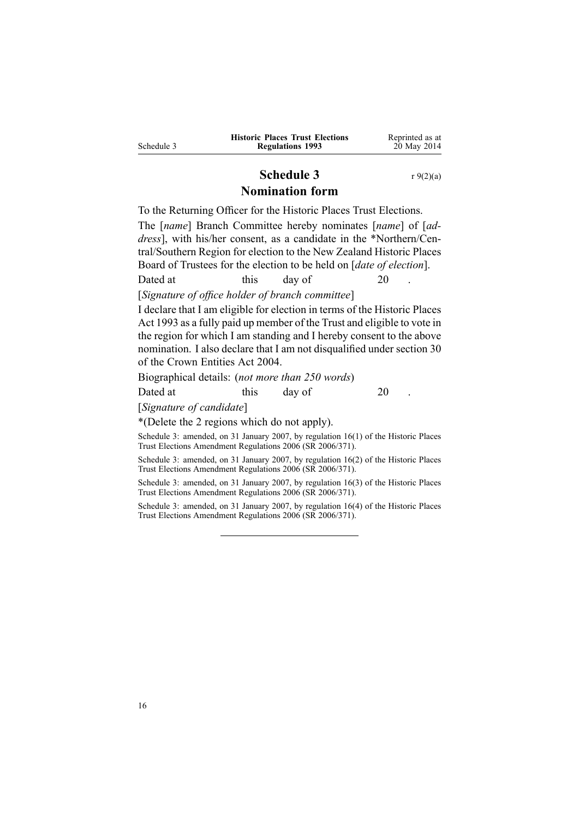<span id="page-15-0"></span>

|            | <b>Historic Places Trust Elections</b> | Reprinted as at |
|------------|----------------------------------------|-----------------|
| Schedule 3 | <b>Regulations 1993</b>                | 20 May 2014     |

### **Schedule 3** r [9\(2\)\(a\)](#page-6-0) **Nomination form**

To the Returning Officer for the Historic Places Trust Elections.

The [*name*] Branch Committee hereby nominates [*name*] of [*address*], with his/her consent, as <sup>a</sup> candidate in the \*Northern/Central/Southern Region for election to the New Zealand Historic Places Board of Trustees for the election to be held on [*date of election*].

Dated at this day of 20

[*Signature of office holder of branch committee*]

I declare that I am eligible for election in terms of the [Historic](http://prd-lgnz-nlb.prd.pco.net.nz/pdflink.aspx?id=DLM300510) Places Act [1993](http://prd-lgnz-nlb.prd.pco.net.nz/pdflink.aspx?id=DLM300510) as <sup>a</sup> fully paid up member of the Trust and eligible to vote in the region for which I am standing and I hereby consent to the above nomination. I also declare that I am not disqualified under [section](http://prd-lgnz-nlb.prd.pco.net.nz/pdflink.aspx?id=DLM329956) 30 of the Crown Entities Act 2004.

Biographical details: (*not more than 250 words*)

Dated at this day of 20

[*Signature of candidate*]

\*(Delete the 2 regions which do not apply).

Schedule 3: amended, on 31 January 2007, by regulation [16\(1\)](http://prd-lgnz-nlb.prd.pco.net.nz/pdflink.aspx?id=DLM420904) of the Historic Places Trust Elections Amendment Regulations 2006 (SR 2006/371).

Schedule 3: amended, on 31 January 2007, by regulation [16\(2\)](http://prd-lgnz-nlb.prd.pco.net.nz/pdflink.aspx?id=DLM420904) of the Historic Places Trust Elections Amendment Regulations 2006 (SR 2006/371).

Schedule 3: amended, on 31 January 2007, by regulation [16\(3\)](http://prd-lgnz-nlb.prd.pco.net.nz/pdflink.aspx?id=DLM420904) of the Historic Places Trust Elections Amendment Regulations 2006 (SR 2006/371).

Schedule 3: amended, on 31 January 2007, by regulation [16\(4\)](http://prd-lgnz-nlb.prd.pco.net.nz/pdflink.aspx?id=DLM420904) of the Historic Places Trust Elections Amendment Regulations 2006 (SR 2006/371).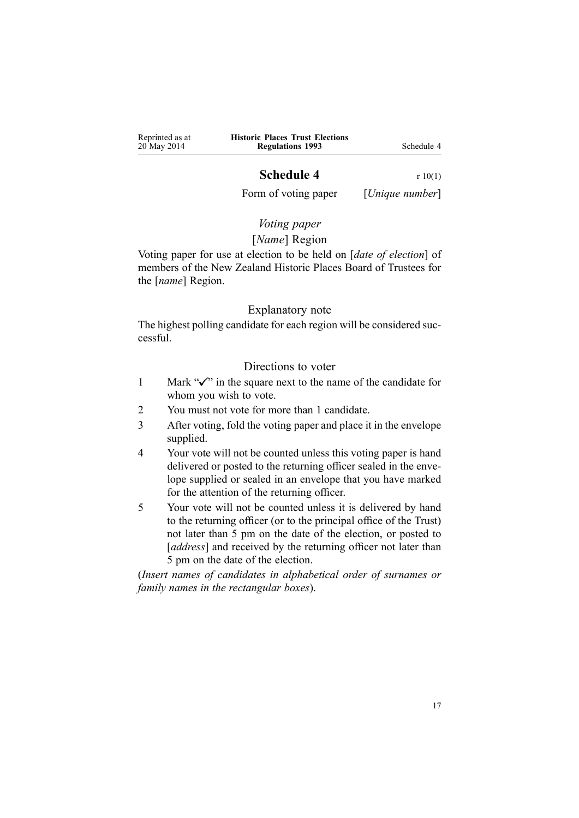<span id="page-16-0"></span>

| Reprinted as at | <b>Historic Places Trust Elections</b> |            |
|-----------------|----------------------------------------|------------|
| 20 May 2014     | <b>Regulations 1993</b>                | Schedule 4 |

### **Schedule 4** r [10\(1\)](#page-7-0)

Form of voting paper [*Unique number*]

## *Voting paper*

### [*Name*] Region

Voting paper for use at election to be held on [*date of election*] of members of the New Zealand Historic Places Board of Trustees for the [*name*] Region.

### Explanatory note

The highest polling candidate for each region will be considered successful.

### Directions to voter

- 1 Mark " $\checkmark$ " in the square next to the name of the candidate for whom you wish to vote.
- 2 You must not vote for more than 1 candidate.
- 3 After voting, fold the voting paper and place it in the envelope supplied.
- 4 Your vote will not be counted unless this voting paper is hand delivered or posted to the returning officer sealed in the envelope supplied or sealed in an envelope that you have marked for the attention of the returning officer.
- 5 Your vote will not be counted unless it is delivered by hand to the returning officer (or to the principal office of the Trust) not later than 5 pm on the date of the election, or posted to [*address*] and received by the returning officer not later than 5 pm on the date of the election.

(*Insert names of candidates in alphabetical order of surnames or family names in the rectangular boxes*).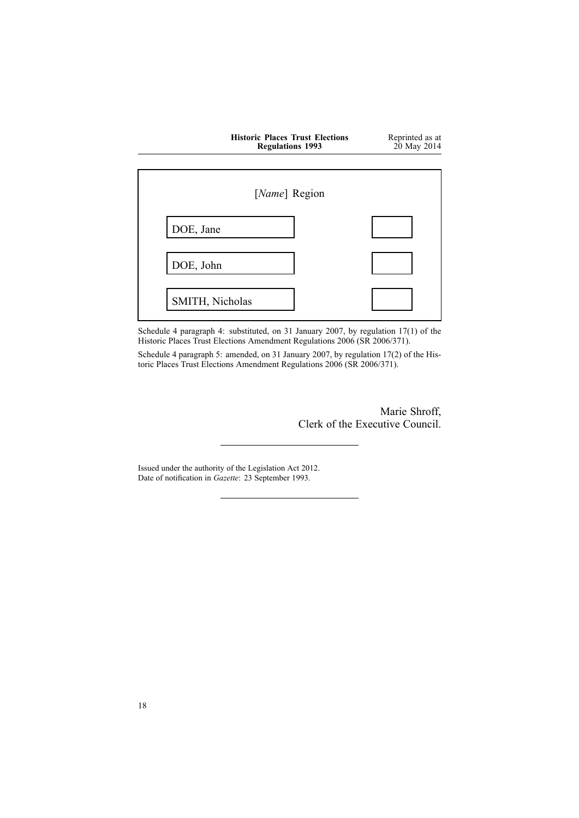|                 | <b>Historic Places Trust Elections</b><br><b>Regulations 1993</b> |  | Reprinted as at<br>20 May 2014 |
|-----------------|-------------------------------------------------------------------|--|--------------------------------|
|                 | [Name] Region                                                     |  |                                |
| DOE, Jane       |                                                                   |  |                                |
| DOE, John       |                                                                   |  |                                |
| SMITH, Nicholas |                                                                   |  |                                |

Schedule 4 paragraph 4: substituted, on 31 January 2007, by regulation [17\(1\)](http://prd-lgnz-nlb.prd.pco.net.nz/pdflink.aspx?id=DLM420905) of the Historic Places Trust Elections Amendment Regulations 2006 (SR 2006/371).

Schedule 4 paragraph 5: amended, on 31 January 2007, by regulation [17\(2\)](http://prd-lgnz-nlb.prd.pco.net.nz/pdflink.aspx?id=DLM420905) of the Historic Places Trust Elections Amendment Regulations 2006 (SR 2006/371).

> Marie Shroff, Clerk of the Executive Council.

Issued under the authority of the [Legislation](http://prd-lgnz-nlb.prd.pco.net.nz/pdflink.aspx?id=DLM2997643) Act 2012. Date of notification in *Gazette*: 23 September 1993.